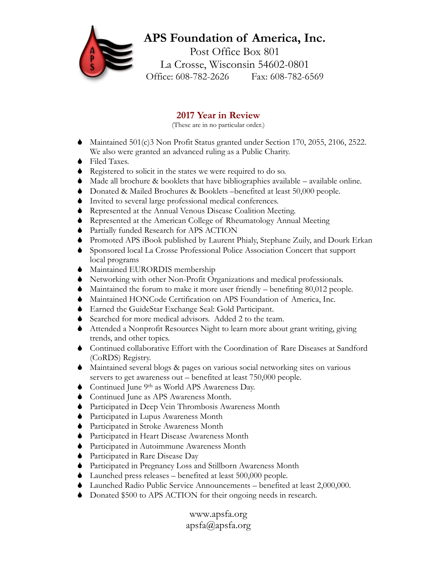## **APS Foundation of America, Inc.**

Post Office Box 801 La Crosse, Wisconsin 54602-0801 Office: 608-782-2626 Fax: 608-782-6569

## **2017 Year in Review**

(These are in no particular order.)

- Maintained 501(c)3 Non Profit Status granted under Section 170, 2055, 2106, 2522. We also were granted an advanced ruling as a Public Charity.
- ◆ Filed Taxes.
- Registered to solicit in the states we were required to do so.
- $\blacklozenge$  Made all brochure & booklets that have bibliographies available available online.
- Donated & Mailed Brochures & Booklets –benefited at least 50,000 people.
- Invited to several large professional medical conferences.
- Represented at the Annual Venous Disease Coalition Meeting.
- Represented at the American College of Rheumatology Annual Meeting
- Partially funded Research for APS ACTION
- Promoted APS iBook published by Laurent Phialy, Stephane Zuily, and Dourk Erkan
- Sponsored local La Crosse Professional Police Association Concert that support local programs
- $\blacklozenge$  Maintained EURORDIS membership
- Networking with other Non-Profit Organizations and medical professionals.
- Maintained the forum to make it more user friendly benefiting 80,012 people.
- Maintained HONCode Certification on APS Foundation of America, Inc.
- Earned the GuideStar Exchange Seal: Gold Participant.
- Searched for more medical advisors. Added 2 to the team.
- Attended a Nonprofit Resources Night to learn more about grant writing, giving trends, and other topics.
- Continued collaborative Effort with the Coordination of Rare Diseases at Sandford (CoRDS) Registry.
- Maintained several blogs & pages on various social networking sites on various servers to get awareness out – benefited at least 750,000 people.
- Continued June 9<sup>th</sup> as World APS Awareness Day.
- Continued June as APS Awareness Month.
- Participated in Deep Vein Thrombosis Awareness Month
- Participated in Lupus Awareness Month
- Participated in Stroke Awareness Month
- Participated in Heart Disease Awareness Month
- Participated in Autoimmune Awareness Month
- Participated in Rare Disease Day
- Participated in Pregnancy Loss and Stillborn Awareness Month
- Launched press releases benefited at least 500,000 people.
- Launched Radio Public Service Announcements benefited at least 2,000,000.
- Donated \$500 to APS ACTION for their ongoing needs in research.

www.apsfa.org apsfa@apsfa.org